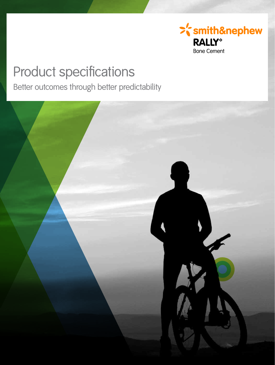

# Product specifications

Better outcomes through better predictability